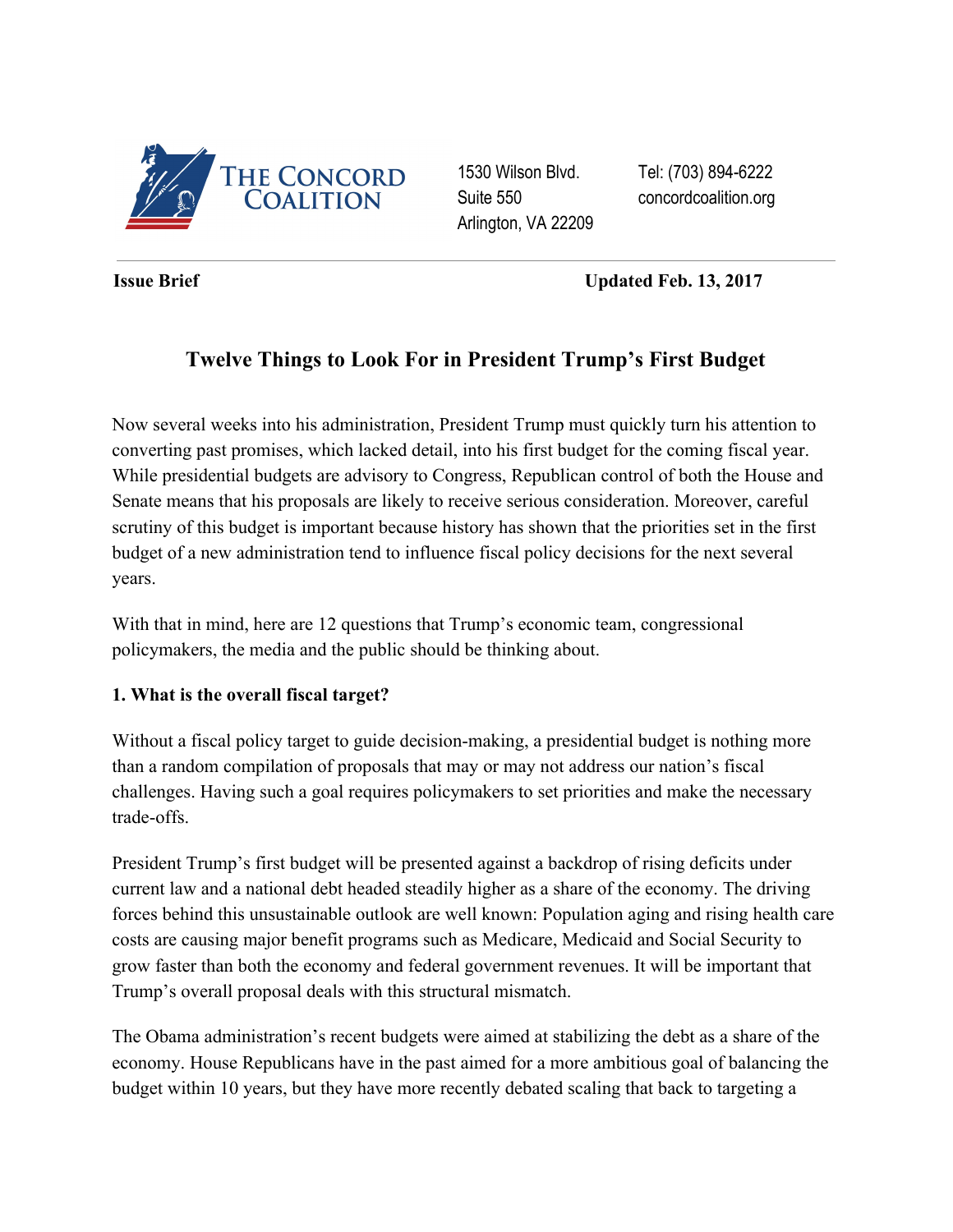

1530 Wilson Blvd. Suite 550 Arlington, VA 22209 Tel: (703) 894-6222 concordcoalition.org

**Issue Brief** Updated Feb. 13, 2017

# **Twelve Things to Look For in President Trump's First Budget**

Now several weeks into his administration, President Trump must quickly turn his attention to converting past promises, which lacked detail, into his first budget for the coming fiscal year. While presidential budgets are advisory to Congress, Republican control of both the House and Senate means that his proposals are likely to receive serious consideration. Moreover, careful scrutiny of this budget is important because history has shown that the priorities set in the first budget of a new administration tend to influence fiscal policy decisions for the next several years.

With that in mind, here are 12 questions that Trump's economic team, congressional policymakers, the media and the public should be thinking about.

### **1. What is the overall fiscal target?**

Without a fiscal policy target to guide decision-making, a presidential budget is nothing more than a random compilation of proposals that may or may not address our nation's fiscal challenges. Having such a goal requires policymakers to set priorities and make the necessary trade-offs.

President Trump's first budget will be presented against a backdrop of rising deficits under current law and a national debt headed steadily higher as a share of the economy. The driving forces behind this unsustainable outlook are well known: Population aging and rising health care costs are causing major benefit programs such as Medicare, Medicaid and Social Security to grow faster than both the economy and federal government revenues. It will be important that Trump's overall proposal deals with this structural mismatch.

The Obama administration's recent budgets were aimed at stabilizing the debt as a share of the economy. House Republicans have in the past aimed for a more ambitious goal of balancing the budget within 10 years, but they have more recently debated scaling that back to targeting a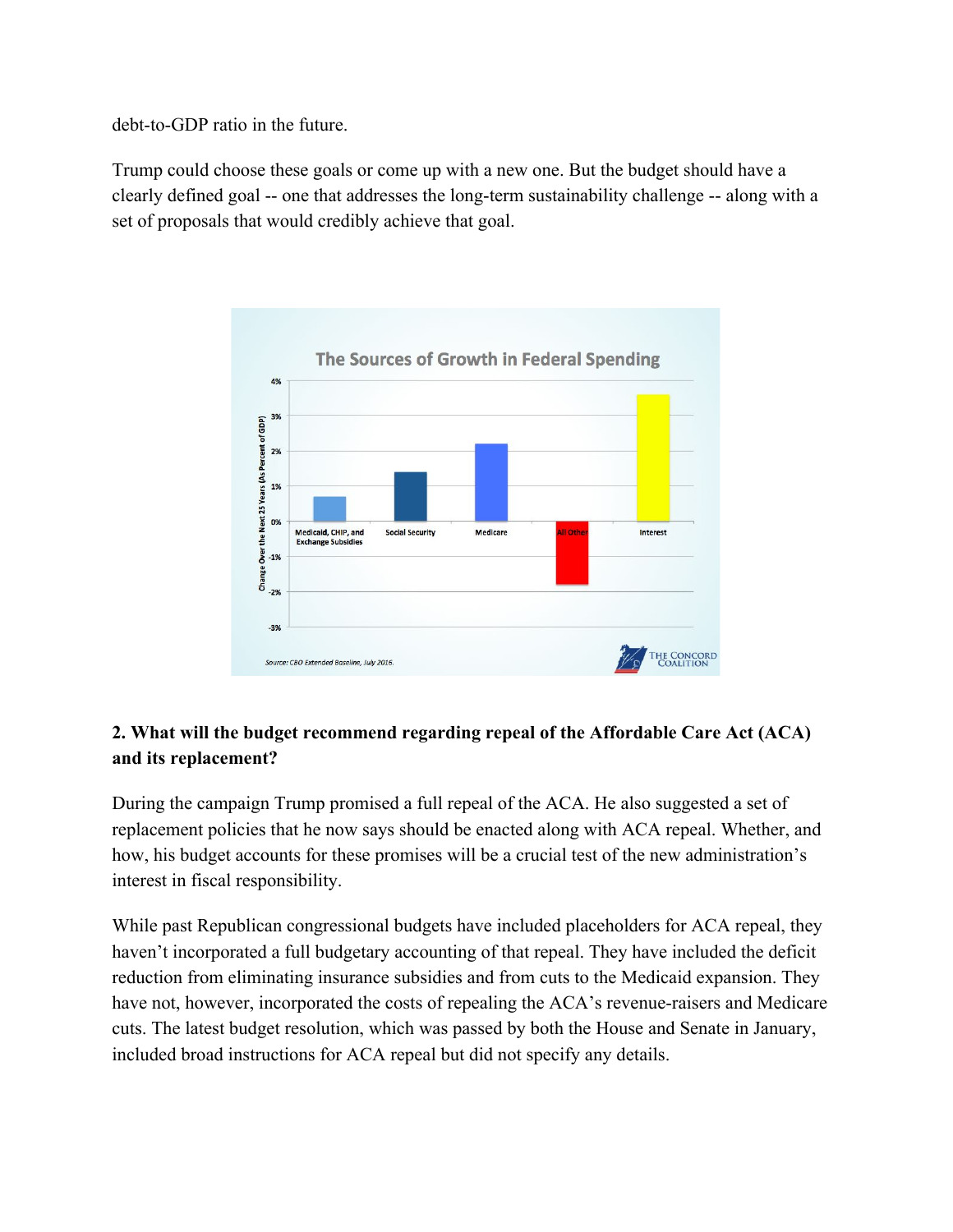debt-to-GDP ratio in the future.

Trump could choose these goals or come up with a new one. But the budget should have a clearly defined goal -- one that addresses the long-term sustainability challenge -- along with a set of proposals that would credibly achieve that goal.



# **2. What will the budget recommend regarding repeal of the Affordable Care Act (ACA) and its replacement?**

During the campaign Trump [promised](https://www.donaldjtrump.com/positions/healthcare-reform) a full repeal of the ACA. He also suggested a set of replacement policies that he now says should be enacted along with ACA repeal. Whether, and how, his budget accounts for these promises will be a crucial test of the new administration's interest in fiscal responsibility.

While past Republican congressional budgets have included placeholders for ACA repeal, they haven't incorporated a full budgetary accounting of that repeal. They have included the deficit reduction from eliminating insurance subsidies and from cuts to the Medicaid expansion. They have not, however, incorporated the costs of repealing the ACA's revenue-raisers and Medicare cuts. The latest budget resolution, which was passed by both the House and Senate in January, included broad instructions for ACA repeal but did not specify any details.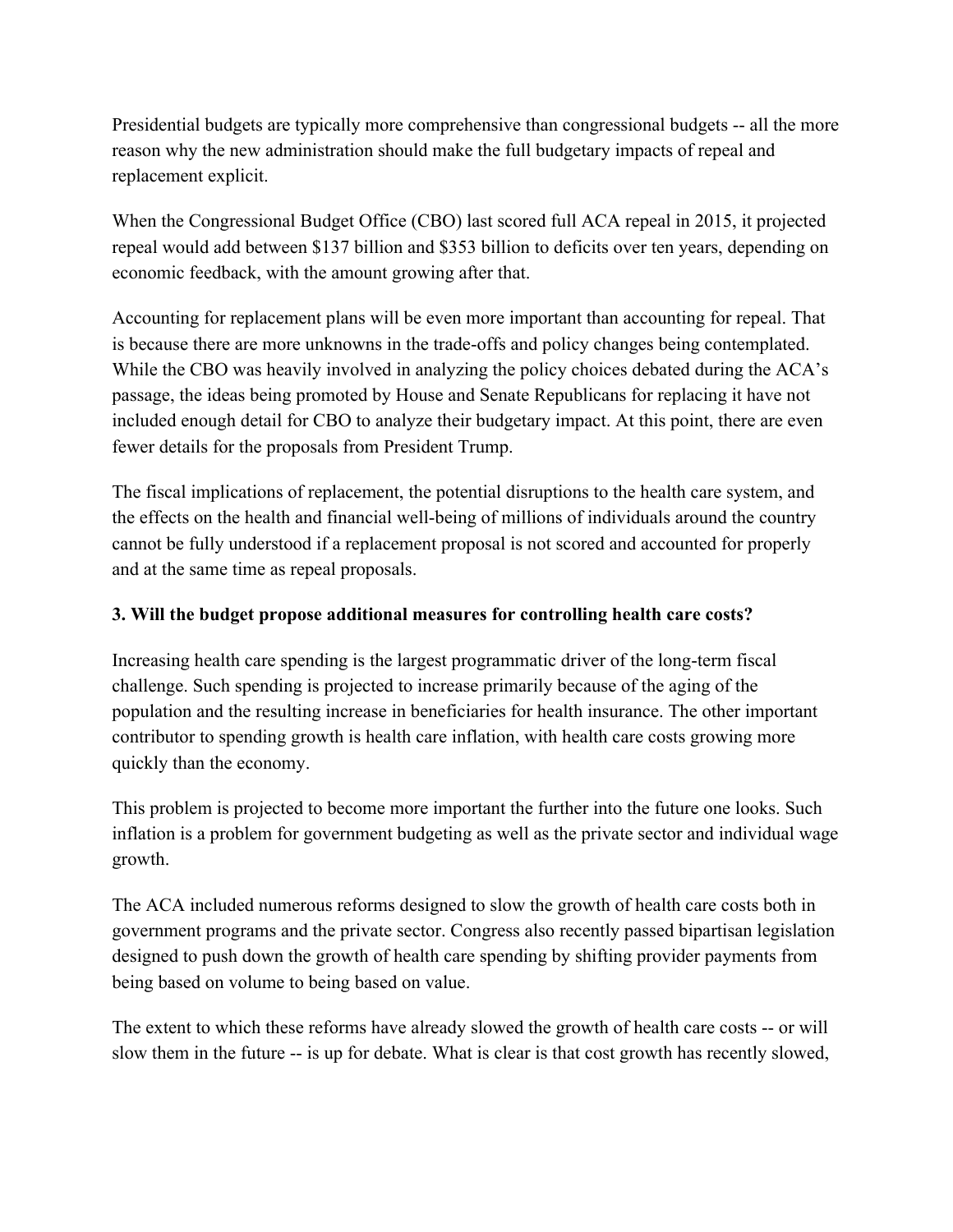Presidential budgets are typically more comprehensive than congressional budgets -- all the more reason why the new administration should make the full budgetary impacts of repeal and replacement explicit.

When the Congressional Budget Office (CBO) last scored full ACA repeal in 2015, it [projected](https://www.cbo.gov/publication/50252) repeal would add between \$137 billion and \$353 billion to deficits over ten years, depending on economic feedback, with the amount growing after that.

Accounting for replacement plans will be even more important than accounting for repeal. That is because there are more unknowns in the trade-offs and policy changes being contemplated. While the CBO was heavily involved in analyzing the policy choices debated during the ACA's passage, the ideas being promoted by House and Senate Republicans for replacing it have not included enough detail for CBO to analyze their budgetary impact. At this point, there are even fewer details for the proposals from President Trump.

The fiscal implications of replacement, the potential disruptions to the health care system, and the effects on the health and financial well-being of millions of individuals around the country cannot be fully understood if a replacement proposal is not scored and accounted for properly and at the same time as repeal proposals.

### **3. Will the budget propose additional measures for controlling health care costs?**

Increasing health care spending is the largest programmatic driver of the long-term fiscal challenge. Such spending is projected to increase primarily because of the aging of the population and the resulting increase in beneficiaries for health insurance. The other important contributor to spending growth is health care inflation, with health care costs growing more quickly than the economy.

This problem is projected to become more important the further into the future one looks. Such inflation is a problem for government budgeting as well as the private sector and individual wage growth.

The ACA included numerous reforms designed to slow the growth of health care costs both in government programs and the private sector. Congress also recently passed bipartisan legislation designed to push down the growth of health care spending by shifting provider payments from being based on volume to being based on value.

The extent to which these reforms have already slowed the growth of health care costs -- or will slow them in the future -- is up for debate. What is clear is that cost growth has recently slowed,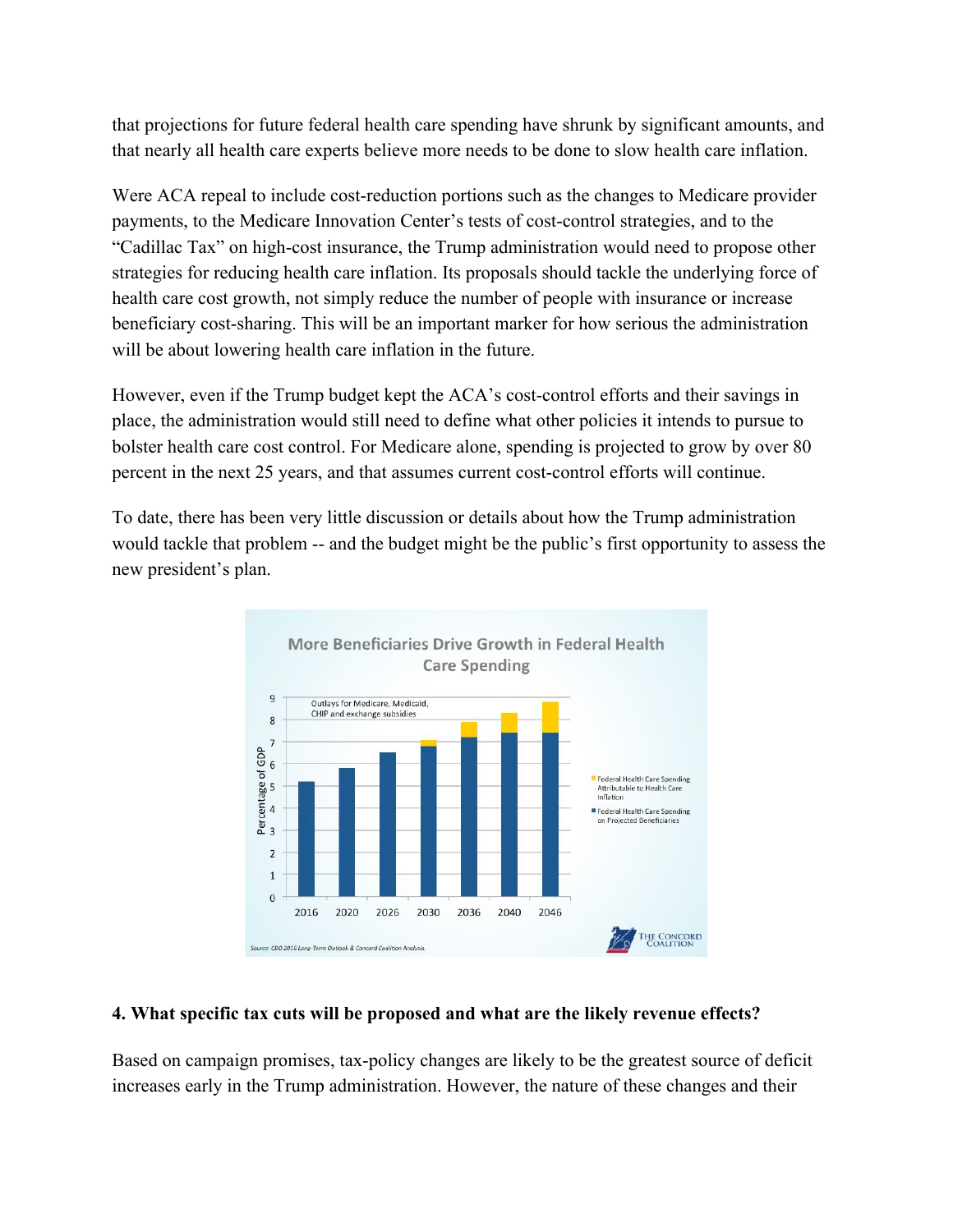that projections for future federal health care spending have shrunk by significant amounts, and that nearly all health care experts believe more needs to be done to slow health care inflation.

Were ACA repeal to include cost-reduction portions such as the changes to Medicare provider payments, to the Medicare Innovation Center's tests of cost-control strategies, and to the "Cadillac Tax" on high-cost insurance, the Trump administration would need to propose other strategies for reducing health care inflation. Its proposals should tackle the underlying force of health care cost growth, not simply reduce the number of people with insurance or increase beneficiary cost-sharing. This will be an important marker for how serious the administration will be about lowering health care inflation in the future.

However, even if the Trump budget kept the ACA's cost-control efforts and their savings in place, the administration would still need to define what other policies it intends to pursue to bolster health care cost control. For Medicare alone, spending is projected to grow by over 80 percent in the next 25 years, and that assumes current cost-control efforts will continue.

To date, there has been very little discussion or details about how the Trump administration would tackle that problem -- and the budget might be the public's first opportunity to assess the new president's plan.



#### **4. What specific tax cuts will be proposed and what are the likely revenue effects?**

Based on campaign promises, tax-policy changes are likely to be the greatest source of deficit increases early in the Trump administration. However, the nature of these changes and their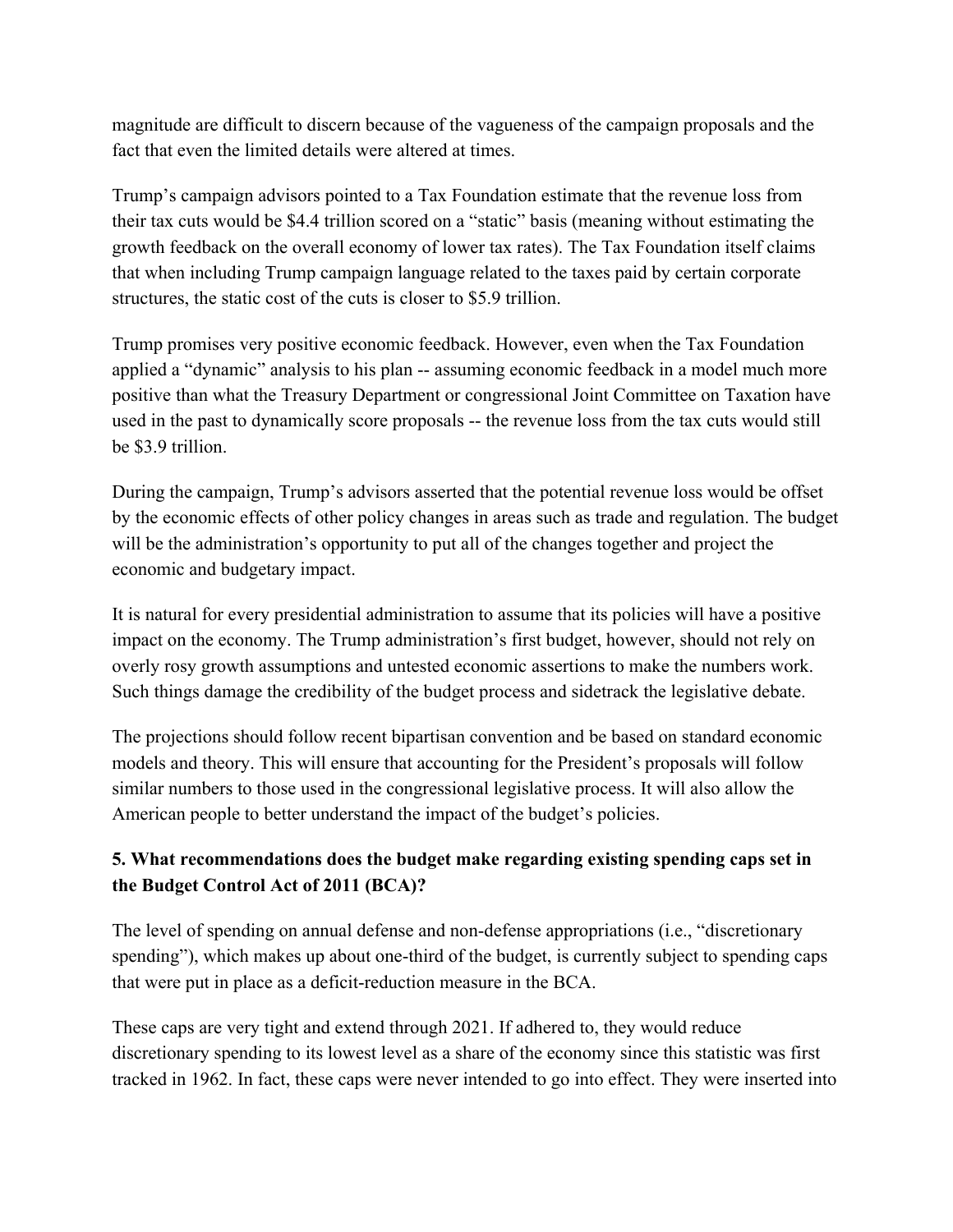magnitude are difficult to discern because of the vagueness of the campaign proposals and the fact that even the limited details were altered at times.

Trump's campaign advisors pointed to a Tax Foundation estimate that the revenue loss from their tax cuts would be \$4.4 trillion scored on a "static" basis (meaning without estimating the growth feedback on the overall economy of lower tax rates). The Tax Foundation itself [claims](http://taxfoundation.org/article/details-and-analysis-donald-trump-tax-reform-plan-september-2016) that when including Trump campaign language related to the taxes paid by certain corporate structures, the static cost of the cuts is closer to \$5.9 trillion.

Trump promises very positive economic feedback. However, even when the Tax Foundation applied a "dynamic" analysis to his plan -- assuming economic feedback in a model much more positive than what the Treasury Department or congressional Joint Committee on Taxation have used in the past to dynamically score proposals -- the revenue loss from the tax cuts would still be \$3.9 trillion.

During the campaign, [Trump's advisors asserted](https://assets.donaldjtrump.com/Trump_Economic_Plan.pdf) that the potential revenue loss would be offset by the economic effects of other policy changes in areas such as trade and regulation. The budget will be the administration's opportunity to put all of the changes together and project the economic and budgetary impact.

It is natural for every presidential administration to assume that its policies will have a positive impact on the economy. The Trump administration's first budget, however, should not rely on overly rosy growth assumptions and untested economic assertions to make the numbers work. Such things damage the credibility of the budget process and sidetrack the legislative debate.

The projections should follow recent bipartisan convention and be based on standard economic models and theory. This will ensure that accounting for the President's proposals will follow similar numbers to those used in the congressional legislative process. It will also allow the American people to better understand the impact of the budget's policies.

# **5. What recommendations does the budget make regarding existing spending caps set in the Budget Control Act of 2011 (BCA)?**

The level of spending on annual defense and non-defense appropriations (i.e., "discretionary spending"), which makes up about one-third of the budget, is currently subject to spending caps that were put in place as a deficit-reduction measure in the BCA.

These caps are very tight and extend through 2021. If adhered to, they would reduce discretionary spending to its lowest level as a share of the economy since this statistic was first tracked in 1962. In fact, these caps were never intended to go into effect. They were inserted into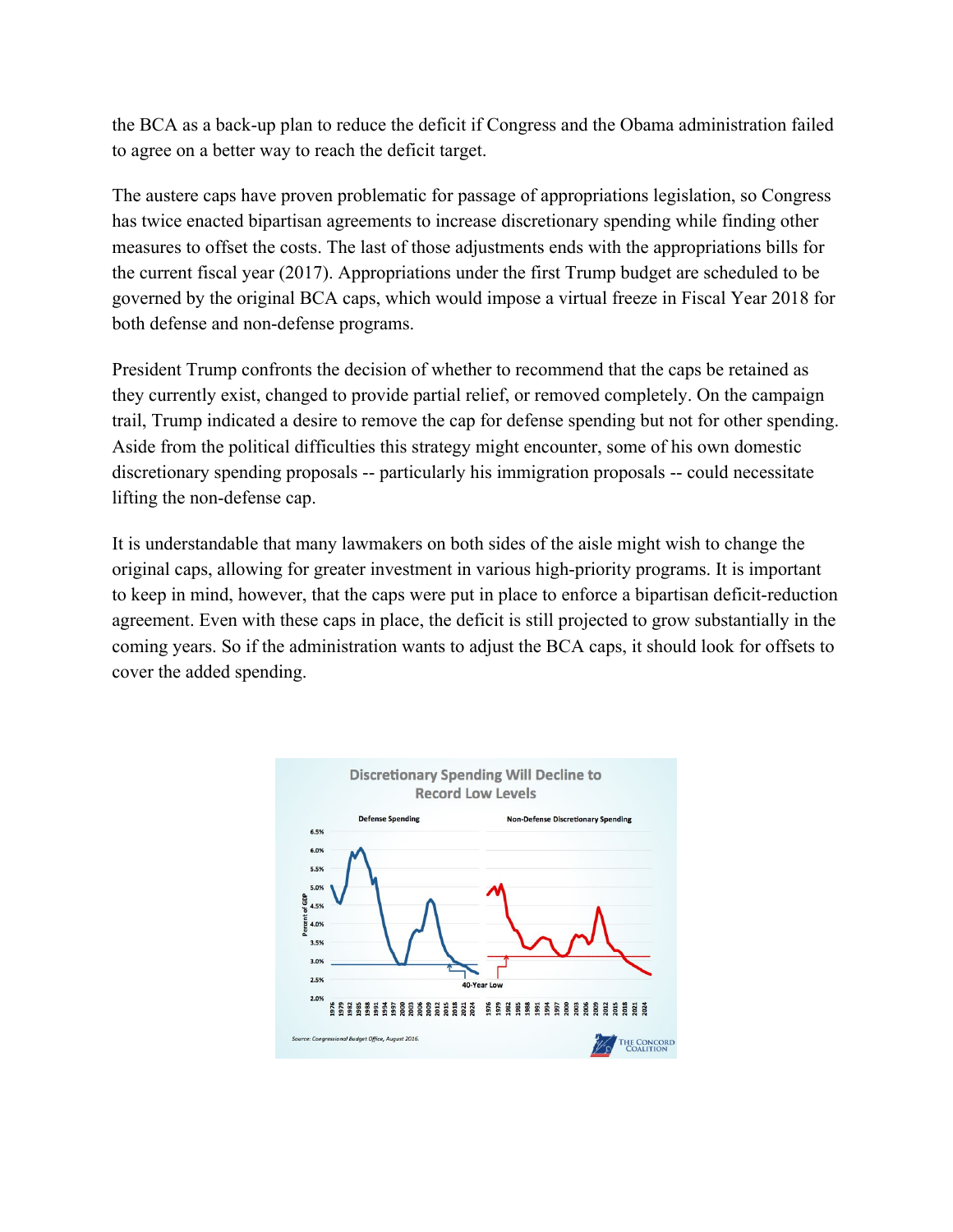the BCA as a back-up plan to reduce the deficit if Congress and the Obama administration failed to agree on a better way to reach the deficit target.

The austere caps have proven problematic for passage of appropriations legislation, so Congress has twice enacted bipartisan agreements to increase discretionary spending while finding other measures to offset the costs. The last of those adjustments ends with the appropriations bills for the current fiscal year (2017). Appropriations under the first Trump budget are scheduled to be governed by the original BCA caps, which would impose a virtual freeze in Fiscal Year 2018 for both defense and non-defense programs.

President Trump confronts the decision of whether to recommend that the caps be retained as they currently exist, changed to provide partial relief, or removed completely. On the campaign trail, Trump indicated a desire to remove the cap for defense spending but not for other spending. Aside from the political difficulties this strategy might encounter, some of his own domestic discretionary spending proposals -- particularly his immigration proposals -- could necessitate lifting the non-defense cap.

It is understandable that many lawmakers on both sides of the aisle might wish to change the original caps, allowing for greater investment in various high-priority programs. It is important to keep in mind, however, that the caps were put in place to enforce a bipartisan deficit-reduction agreement. Even with these caps in place, the deficit is still projected to grow substantially in the coming years. So if the administration wants to adjust the BCA caps, it should look for offsets to cover the added spending.

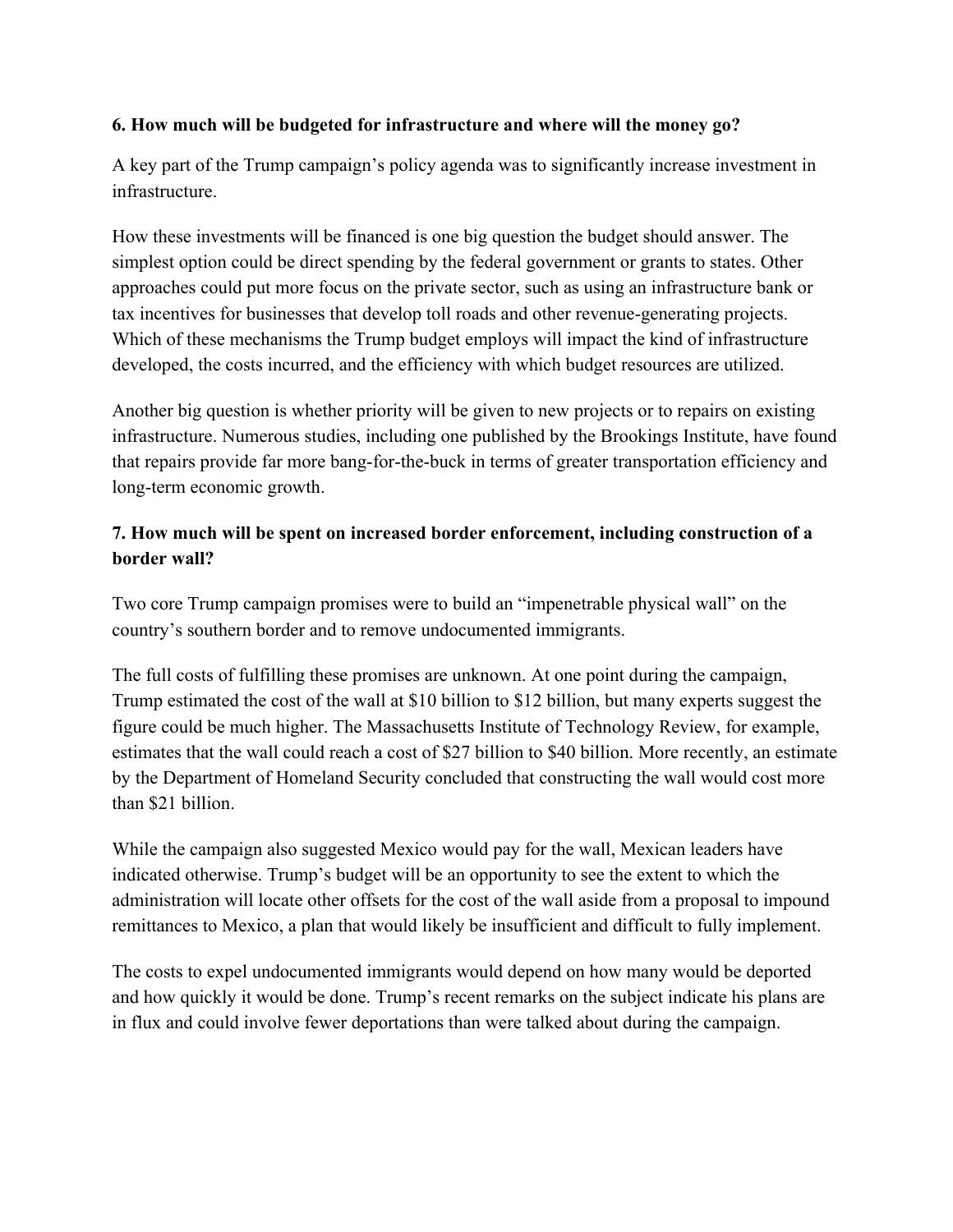### **6. How much will be budgeted for infrastructure and where will the money go?**

A key part of the Trump campaign's policy agenda was to [significantly increase investment in](https://www.donaldjtrump.com/policies/an-americas-infrastructure-first-plan) [infrastructure.](https://www.donaldjtrump.com/policies/an-americas-infrastructure-first-plan)

How these investments will be financed is one big question the budget should answer. The simplest option could be direct spending by the federal government or grants to states. Other approaches could put more focus on the private sector, such as using an infrastructure bank or tax incentives for businesses that develop toll roads and other revenue-generating projects. Which of these mechanisms the Trump budget employs will impact the kind of infrastructure developed, the costs incurred, and the efficiency with which budget resources are utilized.

Another big question is whether priority will be given to new projects or to repairs on existing infrastructure. Numerou[s studies,](http://www.vox.com/2015/2/10/8012211/infrastructure-crumbling-more-spending) including one published by the [Brookings Institute,](https://www.brookings.edu/wp-content/uploads/2016/07/02_highway_infrastructure_kahn_levinson_brief.pdf) have found that repairs provide far more bang-for-the-buck in terms of greater transportation efficiency and long-term economic growth.

### **7. How much will be spent on increased border enforcement, including construction of a border wall?**

Two core Trump campaign promises were to build an "impenetrable physical wall" on the country's southern border and to remove undocumented immigrants.

The full costs of fulfilling these promises are unknown. At one point during the campaign, Trump [estimated the cost of the wall at \\$10 billion to \\$12 billion,](http://info.msnbc.com/_news/2016/02/17/35127534-full-transcript-msnbcs-town-hall-with-donald-trump?lite) but many experts suggest the figure could be much higher. The [Massachusetts Institute of Technology Review,](https://www.technologyreview.com/s/602494/bad-math-props-up-trumps-border-wall/) for example, estimates that the wall could reach a cost of \$27 billion to \$40 billion. More recently, an estimate by the Department of Homeland Security concluded that constructing the wall would cost more than \$21 billion.

While the campaign also suggested Mexico would pay for the wall, Mexican leaders have indicated otherwise. Trump's budget will be an opportunity to see the extent to which the administration will locate other offsets for the cost of the wall aside from a proposal to impound remittances to Mexico, a plan that would likely be insufficient and difficult to fully implement.

The costs to expel undocumented immigrants would depend on how many would be deported and how quickly it would be done. [Trump's recent remarks](https://www.washingtonpost.com/news/the-fix/wp/2016/11/13/donald-trump-plans-to-immediately-deport-2-to-3-million-undocumented-immigrants/) on the subject indicate his plans are in flux and could involve fewer deportations than were talked about during the campaign.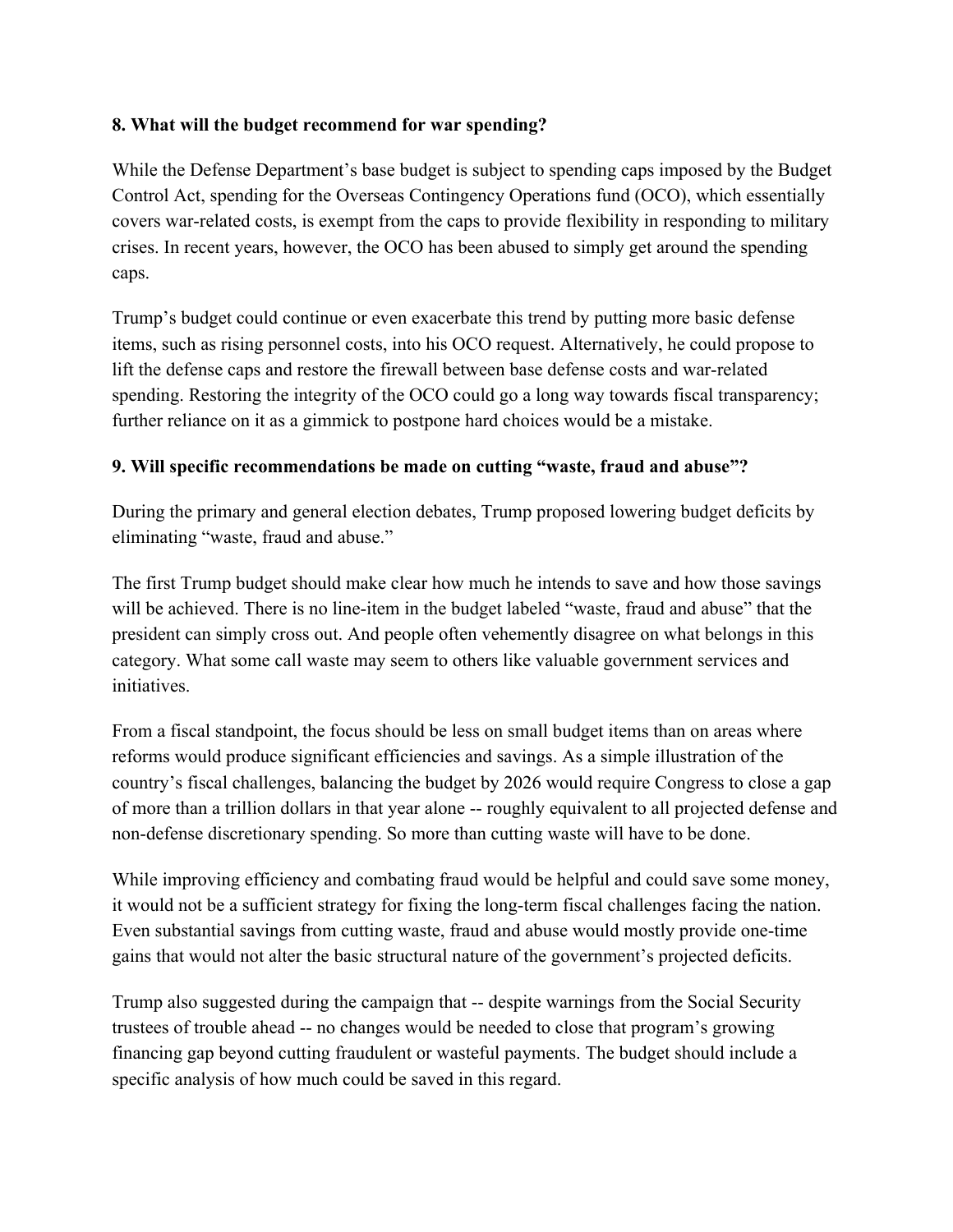### **8. What will the budget recommend for war spending?**

While the Defense Department's base budget is subject to spending caps imposed by the Budget Control Act, spending for the Overseas Contingency Operations fund (OCO), which essentially covers war-related costs, is exempt from the caps to provide flexibility in responding to military crises. In recent years, however, the OCO has been abused to simply get around the spending caps.

Trump's budget could continue or even exacerbate this trend by putting more basic defense items, such as rising personnel costs, into his OCO request. Alternatively, he could propose to lift the defense caps and restore the firewall between base defense costs and war-related spending. Restoring the integrity of the OCO could go a long way towards fiscal transparency; further reliance on it as a gimmick to postpone hard choices would be a mistake.

### **9. Will specific recommendations be made on cutting "waste, fraud and abuse"?**

During the primary and general election debates, Trump proposed lowering budget deficits by [eliminating "waste, fraud and abuse."](http://www.nh1.com/videos/nh1-news-exclusive-special-edition-of-fiscal-friday-with-donald-trump/)

The first Trump budget should make clear how much he intends to save and how those savings will be achieved. There is no line-item in the budget labeled "waste, fraud and abuse" that the president can simply cross out. And people often vehemently disagree on what belongs in this category. What some call waste may seem to others like valuable government services and initiatives.

From a fiscal standpoint, the focus should be less on small budget items than on areas where reforms would produce significant efficiencies and savings. As a simple illustration of the country's fiscal challenges, balancing the budget by 2026 would require Congress to close a gap of more than a trillion dollars in that year alone -- roughly equivalent to all projected defense and non-defense discretionary spending. So more than cutting waste will have to be done.

While improving efficiency and combating fraud would be helpful and could save some money, it would not be a sufficient strategy for fixing the long-term fiscal challenges facing the nation. Even substantial savings from cutting waste, fraud and abuse would mostly provide one-time gains that would not alter the basic structural nature of the government's projected deficits.

Trump also suggested during the campaign that -- despite warnings from the Social Security trustees of trouble ahead -- no changes would be needed to close that program's growing financing gap beyond cutting fraudulent or wasteful payments. The budget should include a specific analysis of how much could be saved in this regard.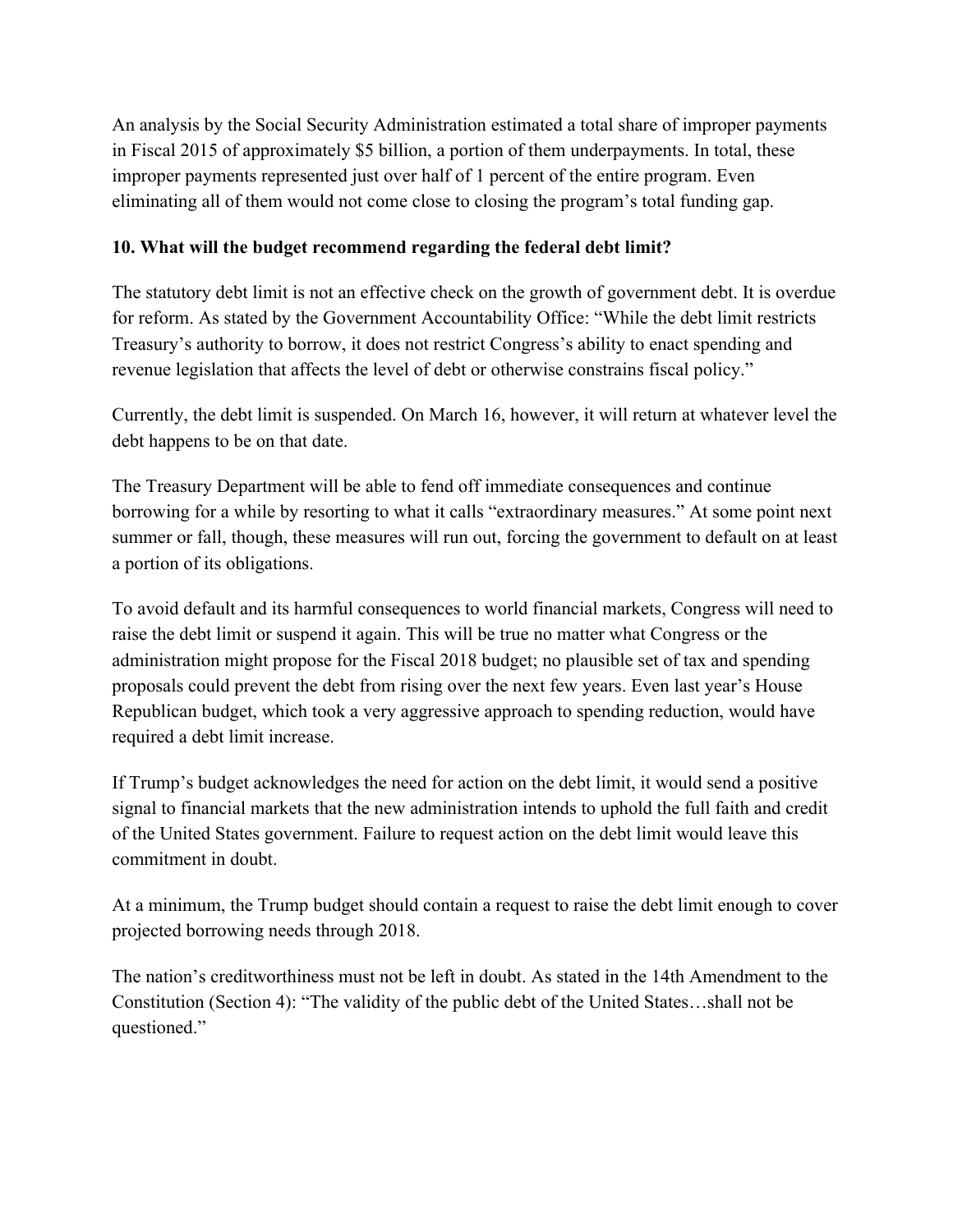An analysis by the Social Security Administratio[n estimated a total share of improper payments](https://paymentaccuracy.gov/tracked/retirement-survivors-and-disability-insurance-rsdi-2014) [in Fiscal 2015 of approximately \\$5 billion,](https://paymentaccuracy.gov/tracked/retirement-survivors-and-disability-insurance-rsdi-2014) a portion of them underpayments. In total, these improper payments represented just over half of 1 percent of the entire program. Even eliminating all of them would not come close to closing the program's total funding gap.

#### **10. What will the budget recommend regarding the federal debt limit?**

The statutory debt limit is not an effective check on the growth of government debt. It is overdue for reform. As [stated by the Government Accountability Office:](http://www.gao.gov/assets/680/671286.pdf) "While the debt limit restricts Treasury's authority to borrow, it does not restrict Congress's ability to enact spending and revenue legislation that affects the level of debt or otherwise constrains fiscal policy."

Currently, the debt limit is suspended. On March 16, however, it will return at whatever level the debt happens to be on that date.

The Treasury Department will be able to fend off immediate consequences and continue borrowing for a while by resorting to what it calls "extraordinary measures." At some point next summer or fall, though, these measures will run out, forcing the government to default on at least a portion of its obligations.

To avoid default and its harmful consequences to world financial markets, Congress will need to raise the debt limit or suspend it again. This will be true no matter what Congress or the administration might propose for the Fiscal 2018 budget; no plausible set of tax and spending proposals could prevent the debt from rising over the next few years. Even last year's House Republican budget, which took a very aggressive approach to spending reduction, would have required a debt limit increase.

If Trump's budget acknowledges the need for action on the debt limit, it would send a positive signal to financial markets that the new administration intends to uphold the full faith and credit of the United States government. Failure to request action on the debt limit would leave this commitment in doubt.

At a minimum, the Trump budget should contain a request to raise the debt limit enough to cover projected borrowing needs through 2018.

The nation's creditworthiness must not be left in doubt. As stated in the 14th Amendment to the Constitution (Section 4): "The validity of the public debt of the United States…shall not be questioned."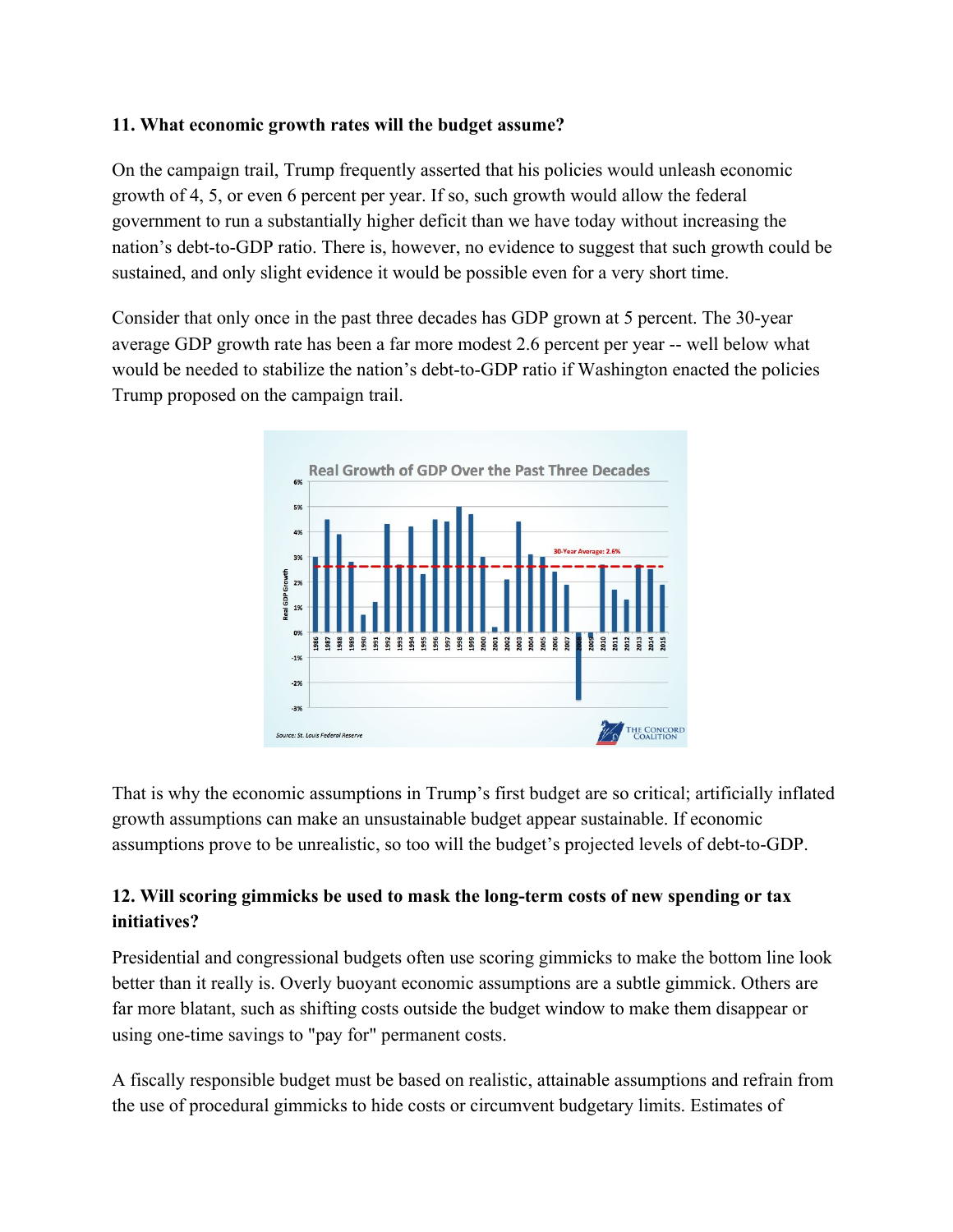### **11. What economic growth rates will the budget assume?**

On the campaign trail, Trump frequently asserted that his policies would unleash economic growth of 4, 5, or even 6 percent per year. If so, such growth would allow the federal government to run a substantially higher deficit than we have today without increasing the nation's debt-to-GDP ratio. There is, however, no evidence to suggest that such growth could be sustained, and only slight evidence it would be possible even for a very short time.

Consider that only once in the past three decades has GDP grown at 5 percent. The 30-year average GDP growth rate has been a far more modest 2.6 percent per year -- well below what would be needed to stabilize the nation's debt-to-GDP ratio if Washington enacted the policies Trump proposed on the campaign trail.



That is why the economic assumptions in Trump's first budget are so critical; artificially inflated growth assumptions can make an unsustainable budget appear sustainable. If economic assumptions prove to be unrealistic, so too will the budget's projected levels of debt-to-GDP.

# **12. Will scoring gimmicks be used to mask the long-term costs of new spending or tax initiatives?**

Presidential and congressional budgets often use scoring gimmicks to make the bottom line look better than it really is. Overly buoyant economic assumptions are a subtle gimmick. Others are far more blatant, such as shifting costs outside the budget window to make them disappear or using one-time savings to "pay for" permanent costs.

A fiscally responsible budget must be based on realistic, attainable assumptions and refrain from the use of procedural gimmicks to hide costs or circumvent budgetary limits. Estimates of